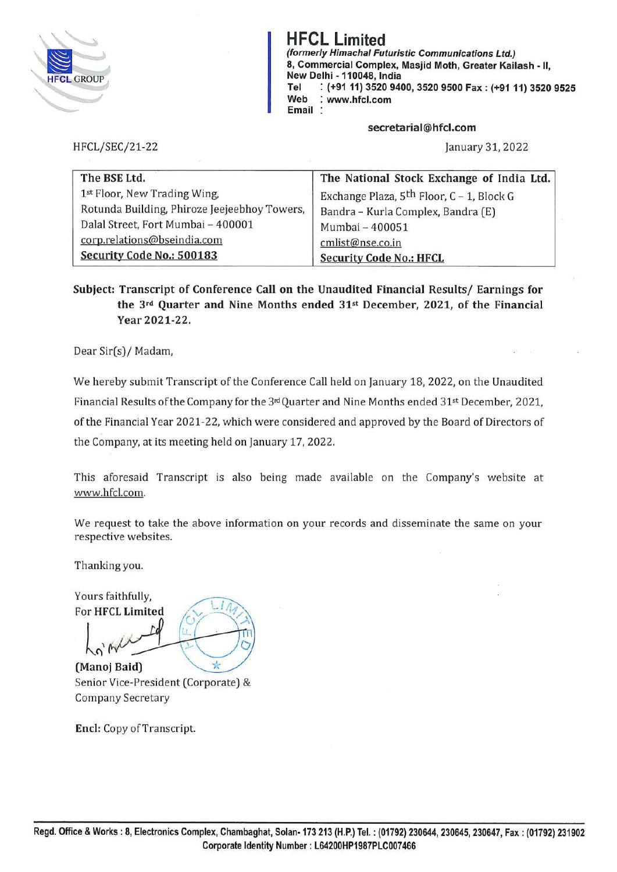

**HFCL Limited (formerly Himachal Futuristic Communications Ltd.) 8, Commercial Complex, Masjid Moth, Greater Kailash** - **11, New Delhi -110048, India Tel** : **(+91 11) 3520 9400, 3520 9500 Fax: (+9111) 3520 9525 Web** : **www.hfcl.com Email** :

**secretarial@hfcl.com** 

January 31, 2022

| The BSE Ltd.                                 | The National Stock Exchange of India Ltd.             |
|----------------------------------------------|-------------------------------------------------------|
| 1st Floor, New Trading Wing,                 | Exchange Plaza, 5 <sup>th</sup> Floor, C - 1, Block G |
| Rotunda Building, Phiroze Jeejeebhoy Towers, | Bandra - Kurla Complex, Bandra (E)                    |
| Dalal Street, Fort Mumbai - 400001           | Mumbai - 400051                                       |
| corp.relations@bseindia.com                  | cmlist@nse.co.in                                      |
| Security Code No.: 500183                    | <b>Security Code No.: HFCL</b>                        |

**Subject: Transcript of Conference Call on the Unaudited Financial Results/ Earnings for the 3rd Quarter and Nine Months ended 31st December, 2021, of the Financial Year 2021-22.** 

Dear Sir(s)/ Madam,

HFCL/SEC/21-22

We hereby submit Transcript of the Conference Call held on January 18, 2022, on the Unaudited Financial Results of the Company for the  $3<sup>rd</sup>$ Quarter and Nine Months ended  $31<sup>st</sup>$  December, 2021, of the Financial Year 2021-22, which were considered and approved by the Board of Directors of the Company, at its meeting held on January 17, 2022.

This aforesaid Transcript is also being made available on the Company's website at www.hfcl.com.

We request to take the above information on your records and disseminate the same on your respective websites.

Thanking you.

Yours faithfully,  $For HFCL Limited$ 

 $\frac{1}{\sqrt{2}}$ 

**(Manoj Baid)** ~ Senior Vice-President (Corporate) & Company Secretary

**Encl:** Copy of Transcript.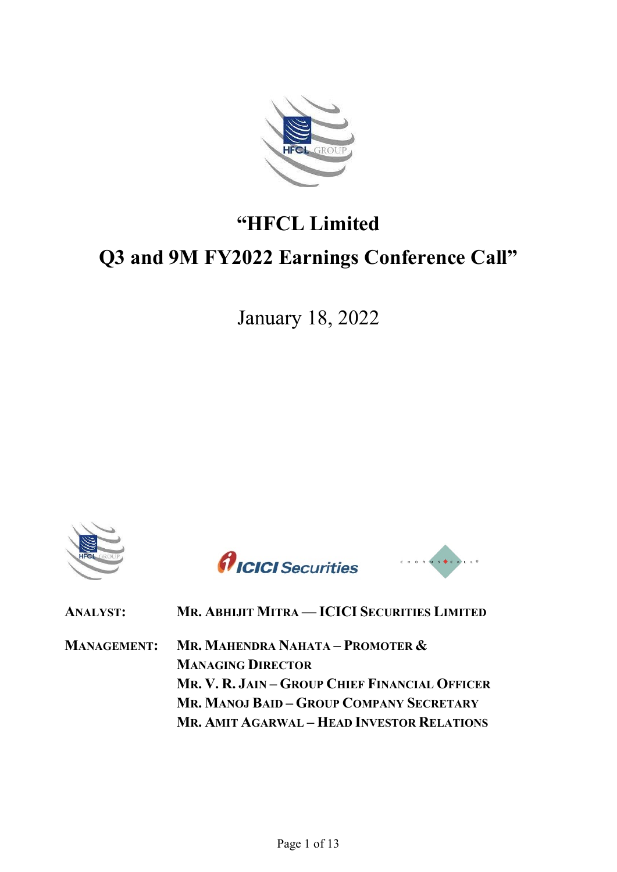

# **"HFCL Limited Q3 and 9M FY2022 Earnings Conference Call"**

January 18, 2022





CHORUS CALLA

| <b>ANALYST:</b>    | MR. ABHIJIT MITRA - ICICI SECURITIES LIMITED      |
|--------------------|---------------------------------------------------|
| <b>MANAGEMENT:</b> | <b>MR. MAHENDRA NAHATA – PROMOTER &amp;</b>       |
|                    | <b>MANAGING DIRECTOR</b>                          |
|                    | MR. V. R. JAIN - GROUP CHIEF FINANCIAL OFFICER    |
|                    | MR, MANOJ BAID - GROUP COMPANY SECRETARY          |
|                    | <b>MR. AMIT AGARWAL – HEAD INVESTOR RELATIONS</b> |
|                    |                                                   |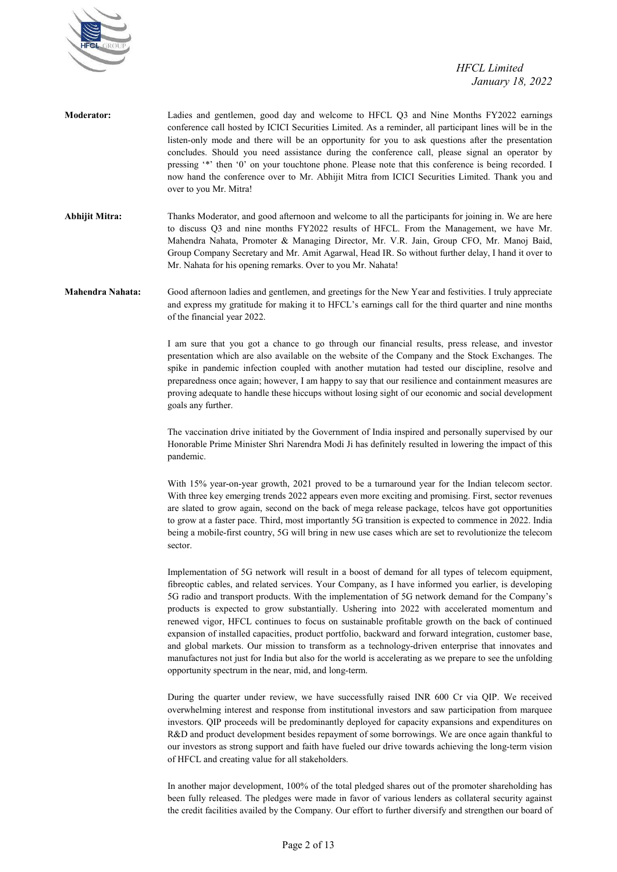

**Moderator:** Ladies and gentlemen, good day and welcome to HFCL Q3 and Nine Months FY2022 earnings conference call hosted by ICICI Securities Limited. As a reminder, all participant lines will be in the listen-only mode and there will be an opportunity for you to ask questions after the presentation concludes. Should you need assistance during the conference call, please signal an operator by pressing '\*' then '0' on your touchtone phone. Please note that this conference is being recorded. I now hand the conference over to Mr. Abhijit Mitra from ICICI Securities Limited. Thank you and over to you Mr. Mitra!

**Abhijit Mitra:** Thanks Moderator, and good afternoon and welcome to all the participants for joining in. We are here to discuss Q3 and nine months FY2022 results of HFCL. From the Management, we have Mr. Mahendra Nahata, Promoter & Managing Director, Mr. V.R. Jain, Group CFO, Mr. Manoj Baid, Group Company Secretary and Mr. Amit Agarwal, Head IR. So without further delay, I hand it over to Mr. Nahata for his opening remarks. Over to you Mr. Nahata!

**Mahendra Nahata:** Good afternoon ladies and gentlemen, and greetings for the New Year and festivities. I truly appreciate and express my gratitude for making it to HFCL's earnings call for the third quarter and nine months of the financial year 2022.

> I am sure that you got a chance to go through our financial results, press release, and investor presentation which are also available on the website of the Company and the Stock Exchanges. The spike in pandemic infection coupled with another mutation had tested our discipline, resolve and preparedness once again; however, I am happy to say that our resilience and containment measures are proving adequate to handle these hiccups without losing sight of our economic and social development goals any further.

> The vaccination drive initiated by the Government of India inspired and personally supervised by our Honorable Prime Minister Shri Narendra Modi Ji has definitely resulted in lowering the impact of this pandemic.

> With 15% year-on-year growth, 2021 proved to be a turnaround year for the Indian telecom sector. With three key emerging trends 2022 appears even more exciting and promising. First, sector revenues are slated to grow again, second on the back of mega release package, telcos have got opportunities to grow at a faster pace. Third, most importantly 5G transition is expected to commence in 2022. India being a mobile-first country, 5G will bring in new use cases which are set to revolutionize the telecom sector.

> Implementation of 5G network will result in a boost of demand for all types of telecom equipment, fibreoptic cables, and related services. Your Company, as I have informed you earlier, is developing 5G radio and transport products. With the implementation of 5G network demand for the Company's products is expected to grow substantially. Ushering into 2022 with accelerated momentum and renewed vigor, HFCL continues to focus on sustainable profitable growth on the back of continued expansion of installed capacities, product portfolio, backward and forward integration, customer base, and global markets. Our mission to transform as a technology-driven enterprise that innovates and manufactures not just for India but also for the world is accelerating as we prepare to see the unfolding opportunity spectrum in the near, mid, and long-term.

> During the quarter under review, we have successfully raised INR 600 Cr via QIP. We received overwhelming interest and response from institutional investors and saw participation from marquee investors. QIP proceeds will be predominantly deployed for capacity expansions and expenditures on R&D and product development besides repayment of some borrowings. We are once again thankful to our investors as strong support and faith have fueled our drive towards achieving the long-term vision of HFCL and creating value for all stakeholders.

> In another major development, 100% of the total pledged shares out of the promoter shareholding has been fully released. The pledges were made in favor of various lenders as collateral security against the credit facilities availed by the Company. Our effort to further diversify and strengthen our board of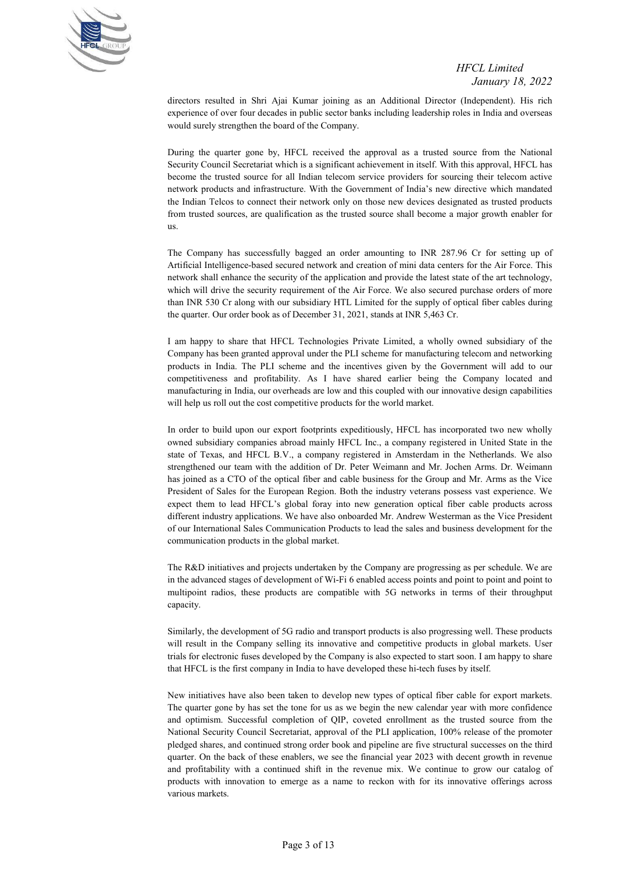

directors resulted in Shri Ajai Kumar joining as an Additional Director (Independent). His rich experience of over four decades in public sector banks including leadership roles in India and overseas would surely strengthen the board of the Company.

During the quarter gone by, HFCL received the approval as a trusted source from the National Security Council Secretariat which is a significant achievement in itself. With this approval, HFCL has become the trusted source for all Indian telecom service providers for sourcing their telecom active network products and infrastructure. With the Government of India's new directive which mandated the Indian Telcos to connect their network only on those new devices designated as trusted products from trusted sources, are qualification as the trusted source shall become a major growth enabler for us.

 The Company has successfully bagged an order amounting to INR 287.96 Cr for setting up of Artificial Intelligence-based secured network and creation of mini data centers for the Air Force. This network shall enhance the security of the application and provide the latest state of the art technology, which will drive the security requirement of the Air Force. We also secured purchase orders of more than INR 530 Cr along with our subsidiary HTL Limited for the supply of optical fiber cables during the quarter. Our order book as of December 31, 2021, stands at INR 5,463 Cr.

 I am happy to share that HFCL Technologies Private Limited, a wholly owned subsidiary of the Company has been granted approval under the PLI scheme for manufacturing telecom and networking products in India. The PLI scheme and the incentives given by the Government will add to our competitiveness and profitability. As I have shared earlier being the Company located and manufacturing in India, our overheads are low and this coupled with our innovative design capabilities will help us roll out the cost competitive products for the world market.

 In order to build upon our export footprints expeditiously, HFCL has incorporated two new wholly owned subsidiary companies abroad mainly HFCL Inc., a company registered in United State in the state of Texas, and HFCL B.V., a company registered in Amsterdam in the Netherlands. We also strengthened our team with the addition of Dr. Peter Weimann and Mr. Jochen Arms. Dr. Weimann has joined as a CTO of the optical fiber and cable business for the Group and Mr. Arms as the Vice President of Sales for the European Region. Both the industry veterans possess vast experience. We expect them to lead HFCL's global foray into new generation optical fiber cable products across different industry applications. We have also onboarded Mr. Andrew Westerman as the Vice President of our International Sales Communication Products to lead the sales and business development for the communication products in the global market.

 The R&D initiatives and projects undertaken by the Company are progressing as per schedule. We are in the advanced stages of development of Wi-Fi 6 enabled access points and point to point and point to multipoint radios, these products are compatible with 5G networks in terms of their throughput capacity.

 Similarly, the development of 5G radio and transport products is also progressing well. These products will result in the Company selling its innovative and competitive products in global markets. User trials for electronic fuses developed by the Company is also expected to start soon. I am happy to share that HFCL is the first company in India to have developed these hi-tech fuses by itself.

 New initiatives have also been taken to develop new types of optical fiber cable for export markets. The quarter gone by has set the tone for us as we begin the new calendar year with more confidence and optimism. Successful completion of QIP, coveted enrollment as the trusted source from the National Security Council Secretariat, approval of the PLI application, 100% release of the promoter pledged shares, and continued strong order book and pipeline are five structural successes on the third quarter. On the back of these enablers, we see the financial year 2023 with decent growth in revenue and profitability with a continued shift in the revenue mix. We continue to grow our catalog of products with innovation to emerge as a name to reckon with for its innovative offerings across various markets.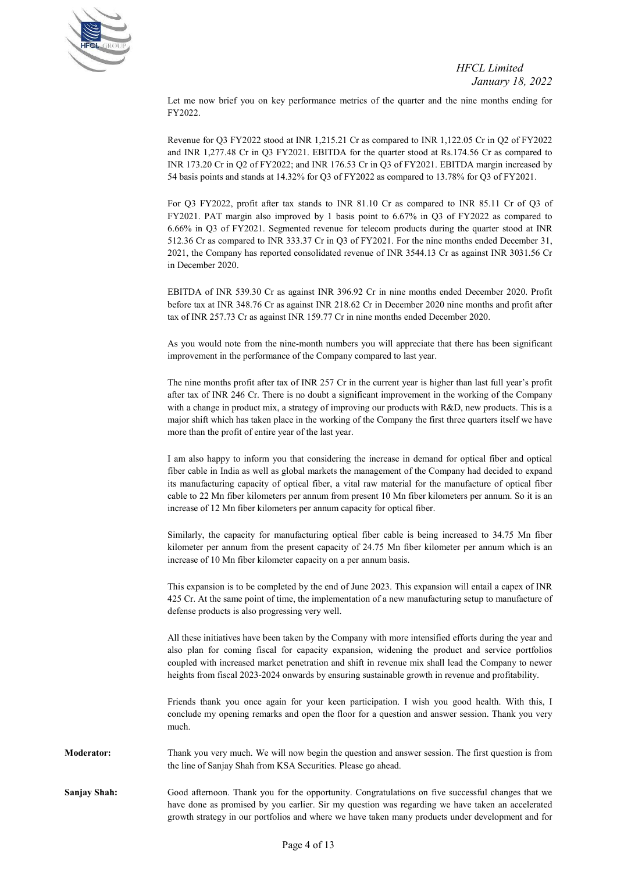

Let me now brief you on key performance metrics of the quarter and the nine months ending for FY2022.

Revenue for Q3 FY2022 stood at INR 1,215.21 Cr as compared to INR 1,122.05 Cr in Q2 of FY2022 and INR 1,277.48 Cr in Q3 FY2021. EBITDA for the quarter stood at Rs.174.56 Cr as compared to INR 173.20 Cr in Q2 of FY2022; and INR 176.53 Cr in Q3 of FY2021. EBITDA margin increased by 54 basis points and stands at 14.32% for Q3 of FY2022 as compared to 13.78% for Q3 of FY2021.

 For Q3 FY2022, profit after tax stands to INR 81.10 Cr as compared to INR 85.11 Cr of Q3 of FY2021. PAT margin also improved by 1 basis point to 6.67% in Q3 of FY2022 as compared to 6.66% in Q3 of FY2021. Segmented revenue for telecom products during the quarter stood at INR 512.36 Cr as compared to INR 333.37 Cr in Q3 of FY2021. For the nine months ended December 31, 2021, the Company has reported consolidated revenue of INR 3544.13 Cr as against INR 3031.56 Cr in December 2020.

 EBITDA of INR 539.30 Cr as against INR 396.92 Cr in nine months ended December 2020. Profit before tax at INR 348.76 Cr as against INR 218.62 Cr in December 2020 nine months and profit after tax of INR 257.73 Cr as against INR 159.77 Cr in nine months ended December 2020.

 As you would note from the nine-month numbers you will appreciate that there has been significant improvement in the performance of the Company compared to last year.

 The nine months profit after tax of INR 257 Cr in the current year is higher than last full year's profit after tax of INR 246 Cr. There is no doubt a significant improvement in the working of the Company with a change in product mix, a strategy of improving our products with R&D, new products. This is a major shift which has taken place in the working of the Company the first three quarters itself we have more than the profit of entire year of the last year.

 I am also happy to inform you that considering the increase in demand for optical fiber and optical fiber cable in India as well as global markets the management of the Company had decided to expand its manufacturing capacity of optical fiber, a vital raw material for the manufacture of optical fiber cable to 22 Mn fiber kilometers per annum from present 10 Mn fiber kilometers per annum. So it is an increase of 12 Mn fiber kilometers per annum capacity for optical fiber.

 Similarly, the capacity for manufacturing optical fiber cable is being increased to 34.75 Mn fiber kilometer per annum from the present capacity of 24.75 Mn fiber kilometer per annum which is an increase of 10 Mn fiber kilometer capacity on a per annum basis.

 This expansion is to be completed by the end of June 2023. This expansion will entail a capex of INR 425 Cr. At the same point of time, the implementation of a new manufacturing setup to manufacture of defense products is also progressing very well.

 All these initiatives have been taken by the Company with more intensified efforts during the year and also plan for coming fiscal for capacity expansion, widening the product and service portfolios coupled with increased market penetration and shift in revenue mix shall lead the Company to newer heights from fiscal 2023-2024 onwards by ensuring sustainable growth in revenue and profitability.

 Friends thank you once again for your keen participation. I wish you good health. With this, I conclude my opening remarks and open the floor for a question and answer session. Thank you very much.

**Moderator:** Thank you very much. We will now begin the question and answer session. The first question is from the line of Sanjay Shah from KSA Securities. Please go ahead.

**Sanjay Shah:** Good afternoon. Thank you for the opportunity. Congratulations on five successful changes that we have done as promised by you earlier. Sir my question was regarding we have taken an accelerated growth strategy in our portfolios and where we have taken many products under development and for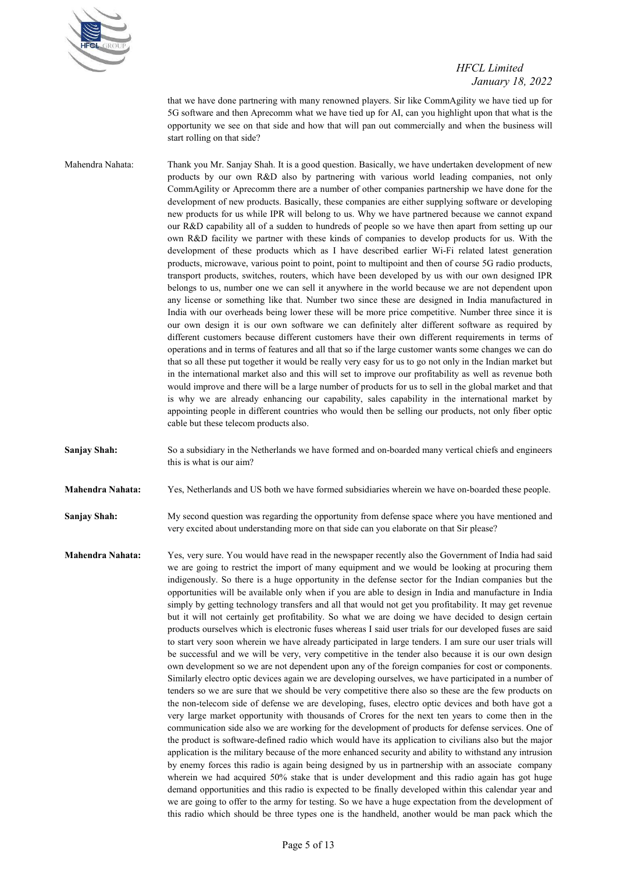

that we have done partnering with many renowned players. Sir like CommAgility we have tied up for 5G software and then Aprecomm what we have tied up for AI, can you highlight upon that what is the opportunity we see on that side and how that will pan out commercially and when the business will start rolling on that side?

Mahendra Nahata: Thank you Mr. Sanjay Shah. It is a good question. Basically, we have undertaken development of new products by our own R&D also by partnering with various world leading companies, not only CommAgility or Aprecomm there are a number of other companies partnership we have done for the development of new products. Basically, these companies are either supplying software or developing new products for us while IPR will belong to us. Why we have partnered because we cannot expand our R&D capability all of a sudden to hundreds of people so we have then apart from setting up our own R&D facility we partner with these kinds of companies to develop products for us. With the development of these products which as I have described earlier Wi-Fi related latest generation products, microwave, various point to point, point to multipoint and then of course 5G radio products, transport products, switches, routers, which have been developed by us with our own designed IPR belongs to us, number one we can sell it anywhere in the world because we are not dependent upon any license or something like that. Number two since these are designed in India manufactured in India with our overheads being lower these will be more price competitive. Number three since it is our own design it is our own software we can definitely alter different software as required by different customers because different customers have their own different requirements in terms of operations and in terms of features and all that so if the large customer wants some changes we can do that so all these put together it would be really very easy for us to go not only in the Indian market but in the international market also and this will set to improve our profitability as well as revenue both would improve and there will be a large number of products for us to sell in the global market and that is why we are already enhancing our capability, sales capability in the international market by appointing people in different countries who would then be selling our products, not only fiber optic cable but these telecom products also.

**Sanjay Shah:** So a subsidiary in the Netherlands we have formed and on-boarded many vertical chiefs and engineers this is what is our aim?

**Mahendra Nahata:** Yes, Netherlands and US both we have formed subsidiaries wherein we have on-boarded these people.

**Sanjay Shah:** My second question was regarding the opportunity from defense space where you have mentioned and very excited about understanding more on that side can you elaborate on that Sir please?

**Mahendra Nahata:** Yes, very sure. You would have read in the newspaper recently also the Government of India had said we are going to restrict the import of many equipment and we would be looking at procuring them indigenously. So there is a huge opportunity in the defense sector for the Indian companies but the opportunities will be available only when if you are able to design in India and manufacture in India simply by getting technology transfers and all that would not get you profitability. It may get revenue but it will not certainly get profitability. So what we are doing we have decided to design certain products ourselves which is electronic fuses whereas I said user trials for our developed fuses are said to start very soon wherein we have already participated in large tenders. I am sure our user trials will be successful and we will be very, very competitive in the tender also because it is our own design own development so we are not dependent upon any of the foreign companies for cost or components. Similarly electro optic devices again we are developing ourselves, we have participated in a number of tenders so we are sure that we should be very competitive there also so these are the few products on the non-telecom side of defense we are developing, fuses, electro optic devices and both have got a very large market opportunity with thousands of Crores for the next ten years to come then in the communication side also we are working for the development of products for defense services. One of the product is software-defined radio which would have its application to civilians also but the major application is the military because of the more enhanced security and ability to withstand any intrusion by enemy forces this radio is again being designed by us in partnership with an associate company wherein we had acquired 50% stake that is under development and this radio again has got huge demand opportunities and this radio is expected to be finally developed within this calendar year and we are going to offer to the army for testing. So we have a huge expectation from the development of this radio which should be three types one is the handheld, another would be man pack which the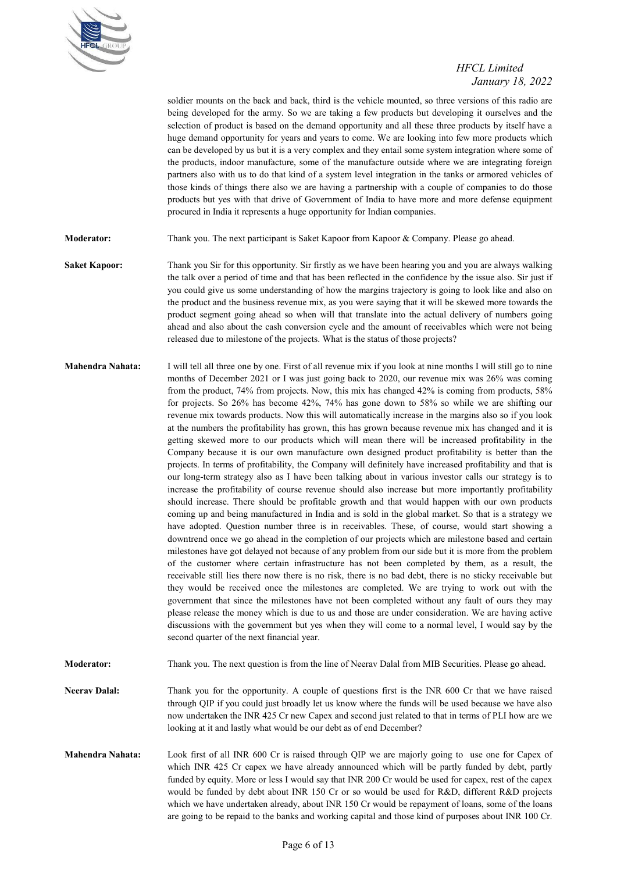

soldier mounts on the back and back, third is the vehicle mounted, so three versions of this radio are being developed for the army. So we are taking a few products but developing it ourselves and the selection of product is based on the demand opportunity and all these three products by itself have a huge demand opportunity for years and years to come. We are looking into few more products which can be developed by us but it is a very complex and they entail some system integration where some of the products, indoor manufacture, some of the manufacture outside where we are integrating foreign partners also with us to do that kind of a system level integration in the tanks or armored vehicles of those kinds of things there also we are having a partnership with a couple of companies to do those products but yes with that drive of Government of India to have more and more defense equipment procured in India it represents a huge opportunity for Indian companies.

**Moderator:** Thank you. The next participant is Saket Kapoor from Kapoor & Company. Please go ahead.

- **Saket Kapoor:** Thank you Sir for this opportunity. Sir firstly as we have been hearing you and you are always walking the talk over a period of time and that has been reflected in the confidence by the issue also. Sir just if you could give us some understanding of how the margins trajectory is going to look like and also on the product and the business revenue mix, as you were saying that it will be skewed more towards the product segment going ahead so when will that translate into the actual delivery of numbers going ahead and also about the cash conversion cycle and the amount of receivables which were not being released due to milestone of the projects. What is the status of those projects?
- **Mahendra Nahata:** I will tell all three one by one. First of all revenue mix if you look at nine months I will still go to nine months of December 2021 or I was just going back to 2020, our revenue mix was 26% was coming from the product, 74% from projects. Now, this mix has changed 42% is coming from products, 58% for projects. So 26% has become 42%, 74% has gone down to 58% so while we are shifting our revenue mix towards products. Now this will automatically increase in the margins also so if you look at the numbers the profitability has grown, this has grown because revenue mix has changed and it is getting skewed more to our products which will mean there will be increased profitability in the Company because it is our own manufacture own designed product profitability is better than the projects. In terms of profitability, the Company will definitely have increased profitability and that is our long-term strategy also as I have been talking about in various investor calls our strategy is to increase the profitability of course revenue should also increase but more importantly profitability should increase. There should be profitable growth and that would happen with our own products coming up and being manufactured in India and is sold in the global market. So that is a strategy we have adopted. Question number three is in receivables. These, of course, would start showing a downtrend once we go ahead in the completion of our projects which are milestone based and certain milestones have got delayed not because of any problem from our side but it is more from the problem of the customer where certain infrastructure has not been completed by them, as a result, the receivable still lies there now there is no risk, there is no bad debt, there is no sticky receivable but they would be received once the milestones are completed. We are trying to work out with the government that since the milestones have not been completed without any fault of ours they may please release the money which is due to us and those are under consideration. We are having active discussions with the government but yes when they will come to a normal level, I would say by the second quarter of the next financial year.
- **Moderator:** Thank you. The next question is from the line of Neerav Dalal from MIB Securities. Please go ahead.
- **Neerav Dalal:** Thank you for the opportunity. A couple of questions first is the INR 600 Cr that we have raised through QIP if you could just broadly let us know where the funds will be used because we have also now undertaken the INR 425 Cr new Capex and second just related to that in terms of PLI how are we looking at it and lastly what would be our debt as of end December?
- **Mahendra Nahata:** Look first of all INR 600 Cr is raised through QIP we are majorly going to use one for Capex of which INR 425 Cr capex we have already announced which will be partly funded by debt, partly funded by equity. More or less I would say that INR 200 Cr would be used for capex, rest of the capex would be funded by debt about INR 150 Cr or so would be used for R&D, different R&D projects which we have undertaken already, about INR 150 Cr would be repayment of loans, some of the loans are going to be repaid to the banks and working capital and those kind of purposes about INR 100 Cr.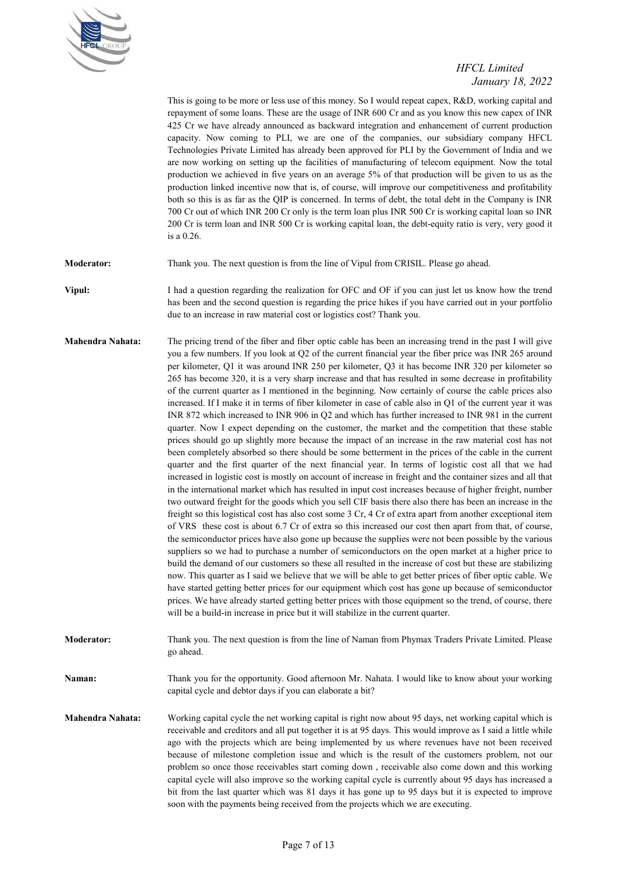

This is going to be more or less use of this money. So I would repeat capex, R&D, working capital and repayment of some loans. These are the usage of INR 600 Cr and as you know this new capex of INR 425 Cr we have already announced as backward integration and enhancement of current production capacity. Now coming to PLI, we are one of the companies, our subsidiary company HFCL Technologies Private Limited has already been approved for PLI by the Government of India and we are now working on setting up the facilities of manufacturing of telecom equipment. Now the total production we achieved in five years on an average 5% of that production will be given to us as the production linked incentive now that is, of course, will improve our competitiveness and profitability both so this is as far as the QIP is concerned. In terms of debt, the total debt in the Company is INR 700 Cr out of which INR 200 Cr only is the term loan plus INR 500 Cr is working capital loan so INR 200 Cr is term loan and INR 500 Cr is working capital loan, the debt-equity ratio is very, very good it is a 0.26.

**Moderator:** Thank you. The next question is from the line of Vipul from CRISIL. Please go ahead.

**Vipul:** I had a question regarding the realization for OFC and OF if you can just let us know how the trend has been and the second question is regarding the price hikes if you have carried out in your portfolio due to an increase in raw material cost or logistics cost? Thank you.

**Mahendra Nahata:** The pricing trend of the fiber and fiber optic cable has been an increasing trend in the past I will give you a few numbers. If you look at Q2 of the current financial year the fiber price was INR 265 around per kilometer, Q1 it was around INR 250 per kilometer, Q3 it has become INR 320 per kilometer so 265 has become 320, it is a very sharp increase and that has resulted in some decrease in profitability of the current quarter as I mentioned in the beginning. Now certainly of course the cable prices also increased. If I make it in terms of fiber kilometer in case of cable also in Q1 of the current year it was INR 872 which increased to INR 906 in Q2 and which has further increased to INR 981 in the current quarter. Now I expect depending on the customer, the market and the competition that these stable prices should go up slightly more because the impact of an increase in the raw material cost has not been completely absorbed so there should be some betterment in the prices of the cable in the current quarter and the first quarter of the next financial year. In terms of logistic cost all that we had increased in logistic cost is mostly on account of increase in freight and the container sizes and all that in the international market which has resulted in input cost increases because of higher freight, number two outward freight for the goods which you sell CIF basis there also there has been an increase in the freight so this logistical cost has also cost some 3 Cr, 4 Cr of extra apart from another exceptional item of VRS these cost is about 6.7 Cr of extra so this increased our cost then apart from that, of course, the semiconductor prices have also gone up because the supplies were not been possible by the various suppliers so we had to purchase a number of semiconductors on the open market at a higher price to build the demand of our customers so these all resulted in the increase of cost but these are stabilizing now. This quarter as I said we believe that we will be able to get better prices of fiber optic cable. We have started getting better prices for our equipment which cost has gone up because of semiconductor prices. We have already started getting better prices with those equipment so the trend, of course, there will be a build-in increase in price but it will stabilize in the current quarter.

**Moderator:** Thank you. The next question is from the line of Naman from Phymax Traders Private Limited. Please go ahead.

**Naman:** Thank you for the opportunity. Good afternoon Mr. Nahata. I would like to know about your working capital cycle and debtor days if you can elaborate a bit?

**Mahendra Nahata:** Working capital cycle the net working capital is right now about 95 days, net working capital which is receivable and creditors and all put together it is at 95 days. This would improve as I said a little while ago with the projects which are being implemented by us where revenues have not been received because of milestone completion issue and which is the result of the customers problem, not our problem so once those receivables start coming down , receivable also come down and this working capital cycle will also improve so the working capital cycle is currently about 95 days has increased a bit from the last quarter which was 81 days it has gone up to 95 days but it is expected to improve soon with the payments being received from the projects which we are executing.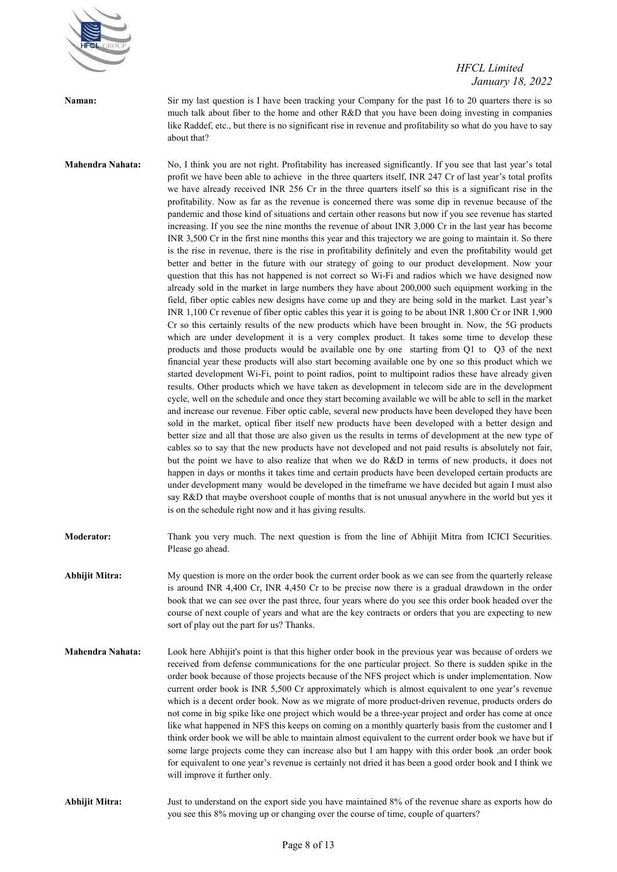

**Naman:** Sir my last question is I have been tracking your Company for the past 16 to 20 quarters there is so much talk about fiber to the home and other R&D that you have been doing investing in companies like Raddef, etc., but there is no significant rise in revenue and profitability so what do you have to say about that?

Mahendra Nahata: No, I think you are not right. Profitability has increased significantly. If you see that last year's total profit we have been able to achieve in the three quarters itself, INR 247 Cr of last year's total profits we have already received INR 256 Cr in the three quarters itself so this is a significant rise in the profitability. Now as far as the revenue is concerned there was some dip in revenue because of the pandemic and those kind of situations and certain other reasons but now if you see revenue has started increasing. If you see the nine months the revenue of about INR 3,000 Cr in the last year has become INR 3,500 Cr in the first nine months this year and this trajectory we are going to maintain it. So there is the rise in revenue, there is the rise in profitability definitely and even the profitability would get better and better in the future with our strategy of going to our product development. Now your question that this has not happened is not correct so Wi-Fi and radios which we have designed now already sold in the market in large numbers they have about 200,000 such equipment working in the field, fiber optic cables new designs have come up and they are being sold in the market. Last year's INR 1,100 Cr revenue of fiber optic cables this year it is going to be about INR 1,800 Cr or INR 1,900 Cr so this certainly results of the new products which have been brought in. Now, the 5G products which are under development it is a very complex product. It takes some time to develop these products and those products would be available one by one starting from Q1 to Q3 of the next financial year these products will also start becoming available one by one so this product which we started development Wi-Fi, point to point radios, point to multipoint radios these have already given results. Other products which we have taken as development in telecom side are in the development cycle, well on the schedule and once they start becoming available we will be able to sell in the market and increase our revenue. Fiber optic cable, several new products have been developed they have been sold in the market, optical fiber itself new products have been developed with a better design and better size and all that those are also given us the results in terms of development at the new type of cables so to say that the new products have not developed and not paid results is absolutely not fair, but the point we have to also realize that when we do R&D in terms of new products, it does not happen in days or months it takes time and certain products have been developed certain products are under development many would be developed in the timeframe we have decided but again I must also say R&D that maybe overshoot couple of months that is not unusual anywhere in the world but yes it is on the schedule right now and it has giving results.

**Moderator:** Thank you very much. The next question is from the line of Abhijit Mitra from ICICI Securities. Please go ahead.

**Abhijit Mitra:** My question is more on the order book the current order book as we can see from the quarterly release is around INR 4,400 Cr, INR 4,450 Cr to be precise now there is a gradual drawdown in the order book that we can see over the past three, four years where do you see this order book headed over the course of next couple of years and what are the key contracts or orders that you are expecting to new sort of play out the part for us? Thanks.

**Mahendra Nahata:** Look here Abhijit's point is that this higher order book in the previous year was because of orders we received from defense communications for the one particular project. So there is sudden spike in the order book because of those projects because of the NFS project which is under implementation. Now current order book is INR 5,500 Cr approximately which is almost equivalent to one year's revenue which is a decent order book. Now as we migrate of more product-driven revenue, products orders do not come in big spike like one project which would be a three-year project and order has come at once like what happened in NFS this keeps on coming on a monthly quarterly basis from the customer and I think order book we will be able to maintain almost equivalent to the current order book we have but if some large projects come they can increase also but I am happy with this order book ,an order book for equivalent to one year's revenue is certainly not dried it has been a good order book and I think we will improve it further only.

**Abhijit Mitra:** Just to understand on the export side you have maintained 8% of the revenue share as exports how do you see this 8% moving up or changing over the course of time, couple of quarters?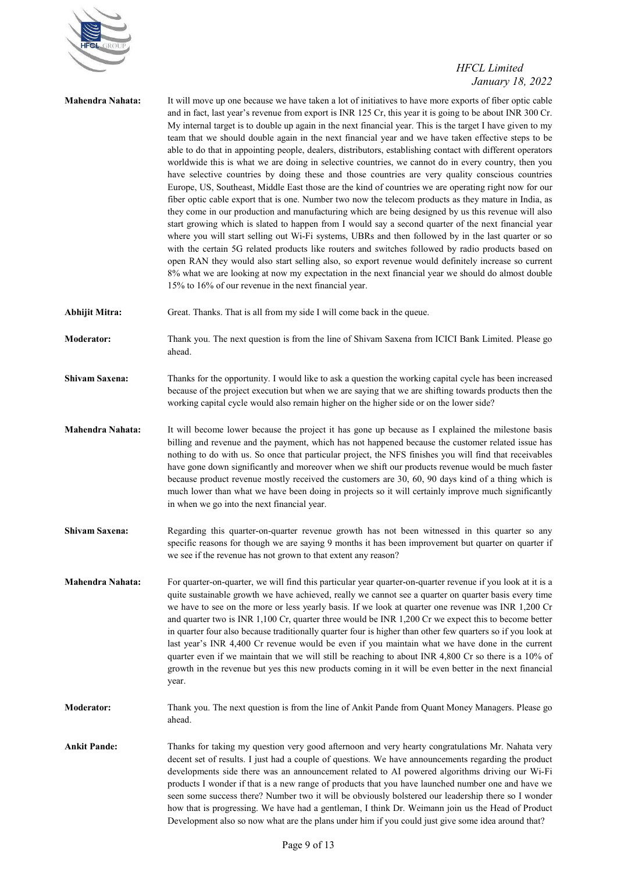

| <b>Mahendra Nahata:</b> | It will move up one because we have taken a lot of initiatives to have more exports of fiber optic cable<br>and in fact, last year's revenue from export is INR 125 Cr, this year it is going to be about INR 300 Cr.<br>My internal target is to double up again in the next financial year. This is the target I have given to my<br>team that we should double again in the next financial year and we have taken effective steps to be<br>able to do that in appointing people, dealers, distributors, establishing contact with different operators<br>worldwide this is what we are doing in selective countries, we cannot do in every country, then you<br>have selective countries by doing these and those countries are very quality conscious countries<br>Europe, US, Southeast, Middle East those are the kind of countries we are operating right now for our<br>fiber optic cable export that is one. Number two now the telecom products as they mature in India, as<br>they come in our production and manufacturing which are being designed by us this revenue will also<br>start growing which is slated to happen from I would say a second quarter of the next financial year<br>where you will start selling out Wi-Fi systems, UBRs and then followed by in the last quarter or so<br>with the certain 5G related products like routers and switches followed by radio products based on<br>open RAN they would also start selling also, so export revenue would definitely increase so current<br>8% what we are looking at now my expectation in the next financial year we should do almost double<br>15% to 16% of our revenue in the next financial year. |
|-------------------------|-----------------------------------------------------------------------------------------------------------------------------------------------------------------------------------------------------------------------------------------------------------------------------------------------------------------------------------------------------------------------------------------------------------------------------------------------------------------------------------------------------------------------------------------------------------------------------------------------------------------------------------------------------------------------------------------------------------------------------------------------------------------------------------------------------------------------------------------------------------------------------------------------------------------------------------------------------------------------------------------------------------------------------------------------------------------------------------------------------------------------------------------------------------------------------------------------------------------------------------------------------------------------------------------------------------------------------------------------------------------------------------------------------------------------------------------------------------------------------------------------------------------------------------------------------------------------------------------------------------------------------------------------------------------------------------------|
| <b>Abhijit Mitra:</b>   | Great. Thanks. That is all from my side I will come back in the queue.                                                                                                                                                                                                                                                                                                                                                                                                                                                                                                                                                                                                                                                                                                                                                                                                                                                                                                                                                                                                                                                                                                                                                                                                                                                                                                                                                                                                                                                                                                                                                                                                                  |
| <b>Moderator:</b>       | Thank you. The next question is from the line of Shivam Saxena from ICICI Bank Limited. Please go<br>ahead.                                                                                                                                                                                                                                                                                                                                                                                                                                                                                                                                                                                                                                                                                                                                                                                                                                                                                                                                                                                                                                                                                                                                                                                                                                                                                                                                                                                                                                                                                                                                                                             |
| <b>Shivam Saxena:</b>   | Thanks for the opportunity. I would like to ask a question the working capital cycle has been increased<br>because of the project execution but when we are saying that we are shifting towards products then the<br>working capital cycle would also remain higher on the higher side or on the lower side?                                                                                                                                                                                                                                                                                                                                                                                                                                                                                                                                                                                                                                                                                                                                                                                                                                                                                                                                                                                                                                                                                                                                                                                                                                                                                                                                                                            |
| <b>Mahendra Nahata:</b> | It will become lower because the project it has gone up because as I explained the milestone basis<br>billing and revenue and the payment, which has not happened because the customer related issue has<br>nothing to do with us. So once that particular project, the NFS finishes you will find that receivables<br>have gone down significantly and moreover when we shift our products revenue would be much faster<br>because product revenue mostly received the customers are 30, 60, 90 days kind of a thing which is<br>much lower than what we have been doing in projects so it will certainly improve much significantly<br>in when we go into the next financial year.                                                                                                                                                                                                                                                                                                                                                                                                                                                                                                                                                                                                                                                                                                                                                                                                                                                                                                                                                                                                    |
| <b>Shivam Saxena:</b>   | Regarding this quarter-on-quarter revenue growth has not been witnessed in this quarter so any<br>specific reasons for though we are saying 9 months it has been improvement but quarter on quarter if<br>we see if the revenue has not grown to that extent any reason?                                                                                                                                                                                                                                                                                                                                                                                                                                                                                                                                                                                                                                                                                                                                                                                                                                                                                                                                                                                                                                                                                                                                                                                                                                                                                                                                                                                                                |
| <b>Mahendra Nahata:</b> | For quarter-on-quarter, we will find this particular year quarter-on-quarter revenue if you look at it is a<br>quite sustainable growth we have achieved, really we cannot see a quarter on quarter basis every time<br>we have to see on the more or less yearly basis. If we look at quarter one revenue was INR 1,200 Cr<br>and quarter two is INR 1,100 Cr, quarter three would be INR 1,200 Cr we expect this to become better<br>in quarter four also because traditionally quarter four is higher than other few quarters so if you look at<br>last year's INR 4,400 Cr revenue would be even if you maintain what we have done in the current<br>quarter even if we maintain that we will still be reaching to about INR 4,800 Cr so there is a 10% of<br>growth in the revenue but yes this new products coming in it will be even better in the next financial<br>year.                                                                                                                                                                                                                                                                                                                                                                                                                                                                                                                                                                                                                                                                                                                                                                                                       |
| <b>Moderator:</b>       | Thank you. The next question is from the line of Ankit Pande from Quant Money Managers. Please go<br>ahead.                                                                                                                                                                                                                                                                                                                                                                                                                                                                                                                                                                                                                                                                                                                                                                                                                                                                                                                                                                                                                                                                                                                                                                                                                                                                                                                                                                                                                                                                                                                                                                             |
| <b>Ankit Pande:</b>     | Thanks for taking my question very good afternoon and very hearty congratulations Mr. Nahata very<br>decent set of results. I just had a couple of questions. We have announcements regarding the product<br>developments side there was an announcement related to AI powered algorithms driving our Wi-Fi<br>products I wonder if that is a new range of products that you have launched number one and have we<br>seen some success there? Number two it will be obviously bolstered our leadership there so I wonder<br>how that is progressing. We have had a gentleman, I think Dr. Weimann join us the Head of Product<br>Development also so now what are the plans under him if you could just give some idea around that?                                                                                                                                                                                                                                                                                                                                                                                                                                                                                                                                                                                                                                                                                                                                                                                                                                                                                                                                                     |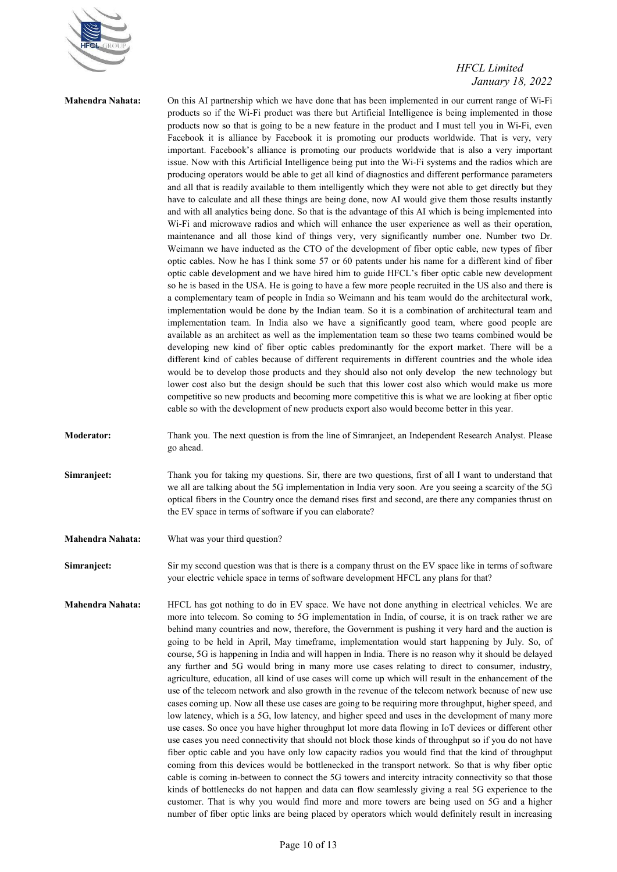

**Mahendra Nahata:** On this AI partnership which we have done that has been implemented in our current range of Wi-Fi products so if the Wi-Fi product was there but Artificial Intelligence is being implemented in those products now so that is going to be a new feature in the product and I must tell you in Wi-Fi, even Facebook it is alliance by Facebook it is promoting our products worldwide. That is very, very important. Facebook's alliance is promoting our products worldwide that is also a very important issue. Now with this Artificial Intelligence being put into the Wi-Fi systems and the radios which are producing operators would be able to get all kind of diagnostics and different performance parameters and all that is readily available to them intelligently which they were not able to get directly but they have to calculate and all these things are being done, now AI would give them those results instantly and with all analytics being done. So that is the advantage of this AI which is being implemented into Wi-Fi and microwave radios and which will enhance the user experience as well as their operation, maintenance and all those kind of things very, very significantly number one. Number two Dr. Weimann we have inducted as the CTO of the development of fiber optic cable, new types of fiber optic cables. Now he has I think some 57 or 60 patents under his name for a different kind of fiber optic cable development and we have hired him to guide HFCL's fiber optic cable new development so he is based in the USA. He is going to have a few more people recruited in the US also and there is a complementary team of people in India so Weimann and his team would do the architectural work, implementation would be done by the Indian team. So it is a combination of architectural team and implementation team. In India also we have a significantly good team, where good people are available as an architect as well as the implementation team so these two teams combined would be developing new kind of fiber optic cables predominantly for the export market. There will be a different kind of cables because of different requirements in different countries and the whole idea would be to develop those products and they should also not only develop the new technology but lower cost also but the design should be such that this lower cost also which would make us more competitive so new products and becoming more competitive this is what we are looking at fiber optic cable so with the development of new products export also would become better in this year.

**Moderator:** Thank you. The next question is from the line of Simranjeet, an Independent Research Analyst. Please go ahead.

**Simranjeet:** Thank you for taking my questions. Sir, there are two questions, first of all I want to understand that we all are talking about the 5G implementation in India very soon. Are you seeing a scarcity of the 5G optical fibers in the Country once the demand rises first and second, are there any companies thrust on the EV space in terms of software if you can elaborate?

**Mahendra Nahata:** What was your third question?

**Simranjeet:** Sir my second question was that is there is a company thrust on the EV space like in terms of software your electric vehicle space in terms of software development HFCL any plans for that?

**Mahendra Nahata:** HFCL has got nothing to do in EV space. We have not done anything in electrical vehicles. We are more into telecom. So coming to 5G implementation in India, of course, it is on track rather we are behind many countries and now, therefore, the Government is pushing it very hard and the auction is going to be held in April, May timeframe, implementation would start happening by July. So, of course, 5G is happening in India and will happen in India. There is no reason why it should be delayed any further and 5G would bring in many more use cases relating to direct to consumer, industry, agriculture, education, all kind of use cases will come up which will result in the enhancement of the use of the telecom network and also growth in the revenue of the telecom network because of new use cases coming up. Now all these use cases are going to be requiring more throughput, higher speed, and low latency, which is a 5G, low latency, and higher speed and uses in the development of many more use cases. So once you have higher throughput lot more data flowing in IoT devices or different other use cases you need connectivity that should not block those kinds of throughput so if you do not have fiber optic cable and you have only low capacity radios you would find that the kind of throughput coming from this devices would be bottlenecked in the transport network. So that is why fiber optic cable is coming in-between to connect the 5G towers and intercity intracity connectivity so that those kinds of bottlenecks do not happen and data can flow seamlessly giving a real 5G experience to the customer. That is why you would find more and more towers are being used on 5G and a higher number of fiber optic links are being placed by operators which would definitely result in increasing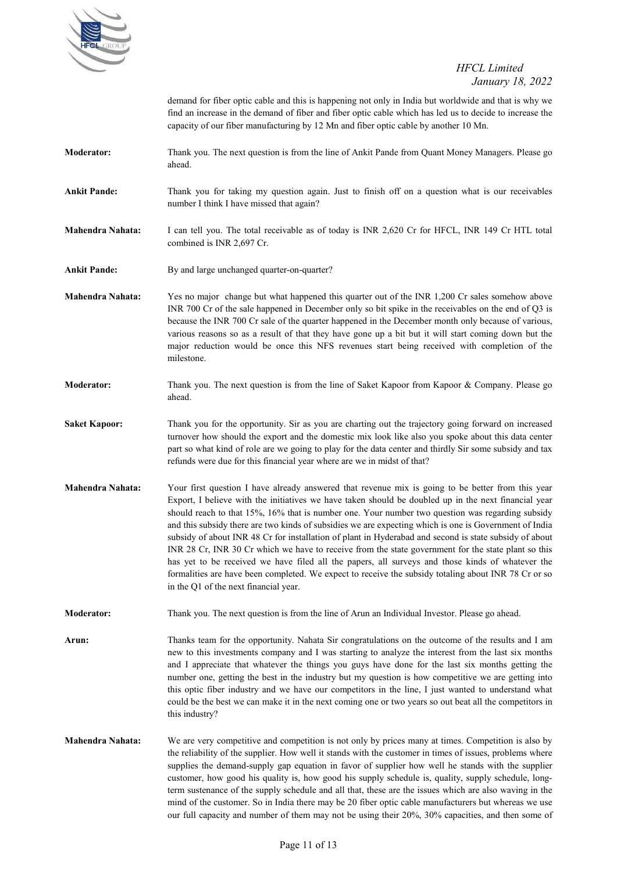

demand for fiber optic cable and this is happening not only in India but worldwide and that is why we find an increase in the demand of fiber and fiber optic cable which has led us to decide to increase the capacity of our fiber manufacturing by 12 Mn and fiber optic cable by another 10 Mn.

- **Moderator:** Thank you. The next question is from the line of Ankit Pande from Quant Money Managers. Please go ahead.
- **Ankit Pande:** Thank you for taking my question again. Just to finish off on a question what is our receivables number I think I have missed that again?
- **Mahendra Nahata:** I can tell you. The total receivable as of today is INR 2,620 Cr for HFCL, INR 149 Cr HTL total combined is INR 2,697 Cr.
- Ankit Pande: By and large unchanged quarter-on-quarter?
- **Mahendra Nahata:** Yes no major change but what happened this quarter out of the INR 1,200 Cr sales somehow above INR 700 Cr of the sale happened in December only so bit spike in the receivables on the end of Q3 is because the INR 700 Cr sale of the quarter happened in the December month only because of various, various reasons so as a result of that they have gone up a bit but it will start coming down but the major reduction would be once this NFS revenues start being received with completion of the milestone.
- **Moderator:** Thank you. The next question is from the line of Saket Kapoor from Kapoor & Company. Please go ahead.
- Saket Kapoor: Thank you for the opportunity. Sir as you are charting out the trajectory going forward on increased turnover how should the export and the domestic mix look like also you spoke about this data center part so what kind of role are we going to play for the data center and thirdly Sir some subsidy and tax refunds were due for this financial year where are we in midst of that?
- **Mahendra Nahata:** Your first question I have already answered that revenue mix is going to be better from this year Export, I believe with the initiatives we have taken should be doubled up in the next financial year should reach to that 15%, 16% that is number one. Your number two question was regarding subsidy and this subsidy there are two kinds of subsidies we are expecting which is one is Government of India subsidy of about INR 48 Cr for installation of plant in Hyderabad and second is state subsidy of about INR 28 Cr, INR 30 Cr which we have to receive from the state government for the state plant so this has yet to be received we have filed all the papers, all surveys and those kinds of whatever the formalities are have been completed. We expect to receive the subsidy totaling about INR 78 Cr or so in the Q1 of the next financial year.
- **Moderator:** Thank you. The next question is from the line of Arun an Individual Investor. Please go ahead.
- **Arun:** Thanks team for the opportunity. Nahata Sir congratulations on the outcome of the results and I am new to this investments company and I was starting to analyze the interest from the last six months and I appreciate that whatever the things you guys have done for the last six months getting the number one, getting the best in the industry but my question is how competitive we are getting into this optic fiber industry and we have our competitors in the line, I just wanted to understand what could be the best we can make it in the next coming one or two years so out beat all the competitors in this industry?
- **Mahendra Nahata:** We are very competitive and competition is not only by prices many at times. Competition is also by the reliability of the supplier. How well it stands with the customer in times of issues, problems where supplies the demand-supply gap equation in favor of supplier how well he stands with the supplier customer, how good his quality is, how good his supply schedule is, quality, supply schedule, longterm sustenance of the supply schedule and all that, these are the issues which are also waving in the mind of the customer. So in India there may be 20 fiber optic cable manufacturers but whereas we use our full capacity and number of them may not be using their 20%, 30% capacities, and then some of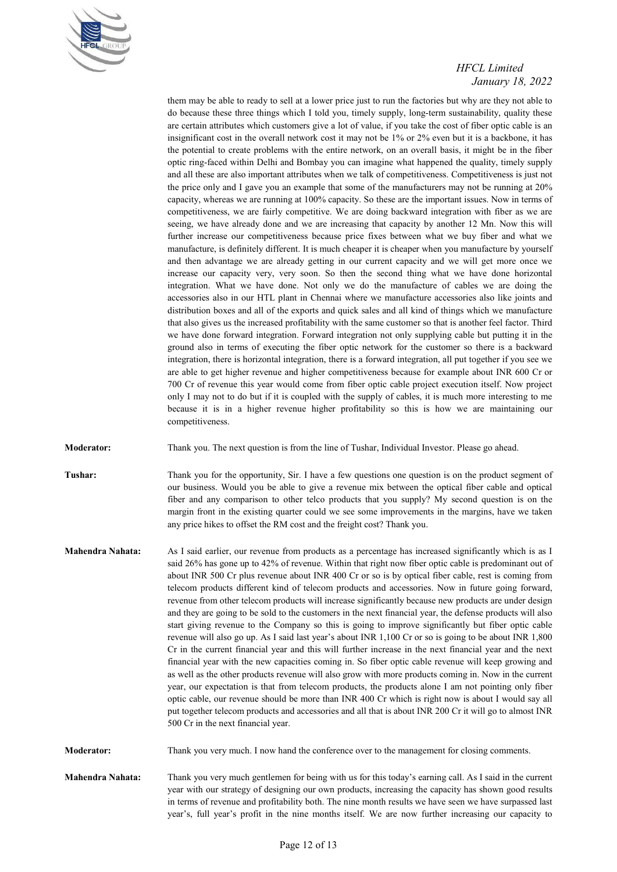

them may be able to ready to sell at a lower price just to run the factories but why are they not able to do because these three things which I told you, timely supply, long-term sustainability, quality these are certain attributes which customers give a lot of value, if you take the cost of fiber optic cable is an insignificant cost in the overall network cost it may not be 1% or 2% even but it is a backbone, it has the potential to create problems with the entire network, on an overall basis, it might be in the fiber optic ring-faced within Delhi and Bombay you can imagine what happened the quality, timely supply and all these are also important attributes when we talk of competitiveness. Competitiveness is just not the price only and I gave you an example that some of the manufacturers may not be running at 20% capacity, whereas we are running at 100% capacity. So these are the important issues. Now in terms of competitiveness, we are fairly competitive. We are doing backward integration with fiber as we are seeing, we have already done and we are increasing that capacity by another 12 Mn. Now this will further increase our competitiveness because price fixes between what we buy fiber and what we manufacture, is definitely different. It is much cheaper it is cheaper when you manufacture by yourself and then advantage we are already getting in our current capacity and we will get more once we increase our capacity very, very soon. So then the second thing what we have done horizontal integration. What we have done. Not only we do the manufacture of cables we are doing the accessories also in our HTL plant in Chennai where we manufacture accessories also like joints and distribution boxes and all of the exports and quick sales and all kind of things which we manufacture that also gives us the increased profitability with the same customer so that is another feel factor. Third we have done forward integration. Forward integration not only supplying cable but putting it in the ground also in terms of executing the fiber optic network for the customer so there is a backward integration, there is horizontal integration, there is a forward integration, all put together if you see we are able to get higher revenue and higher competitiveness because for example about INR 600 Cr or 700 Cr of revenue this year would come from fiber optic cable project execution itself. Now project only I may not to do but if it is coupled with the supply of cables, it is much more interesting to me because it is in a higher revenue higher profitability so this is how we are maintaining our competitiveness.

**Moderator:** Thank you. The next question is from the line of Tushar, Individual Investor. Please go ahead.

**Tushar:** Thank you for the opportunity, Sir. I have a few questions one question is on the product segment of our business. Would you be able to give a revenue mix between the optical fiber cable and optical fiber and any comparison to other telco products that you supply? My second question is on the margin front in the existing quarter could we see some improvements in the margins, have we taken any price hikes to offset the RM cost and the freight cost? Thank you.

**Mahendra Nahata:** As I said earlier, our revenue from products as a percentage has increased significantly which is as I said 26% has gone up to 42% of revenue. Within that right now fiber optic cable is predominant out of about INR 500 Cr plus revenue about INR 400 Cr or so is by optical fiber cable, rest is coming from telecom products different kind of telecom products and accessories. Now in future going forward, revenue from other telecom products will increase significantly because new products are under design and they are going to be sold to the customers in the next financial year, the defense products will also start giving revenue to the Company so this is going to improve significantly but fiber optic cable revenue will also go up. As I said last year's about INR 1,100 Cr or so is going to be about INR 1,800 Cr in the current financial year and this will further increase in the next financial year and the next financial year with the new capacities coming in. So fiber optic cable revenue will keep growing and as well as the other products revenue will also grow with more products coming in. Now in the current year, our expectation is that from telecom products, the products alone I am not pointing only fiber optic cable, our revenue should be more than INR 400 Cr which is right now is about I would say all put together telecom products and accessories and all that is about INR 200 Cr it will go to almost INR 500 Cr in the next financial year.

**Moderator:** Thank you very much. I now hand the conference over to the management for closing comments.

**Mahendra Nahata:** Thank you very much gentlemen for being with us for this today's earning call. As I said in the current year with our strategy of designing our own products, increasing the capacity has shown good results in terms of revenue and profitability both. The nine month results we have seen we have surpassed last year's, full year's profit in the nine months itself. We are now further increasing our capacity to